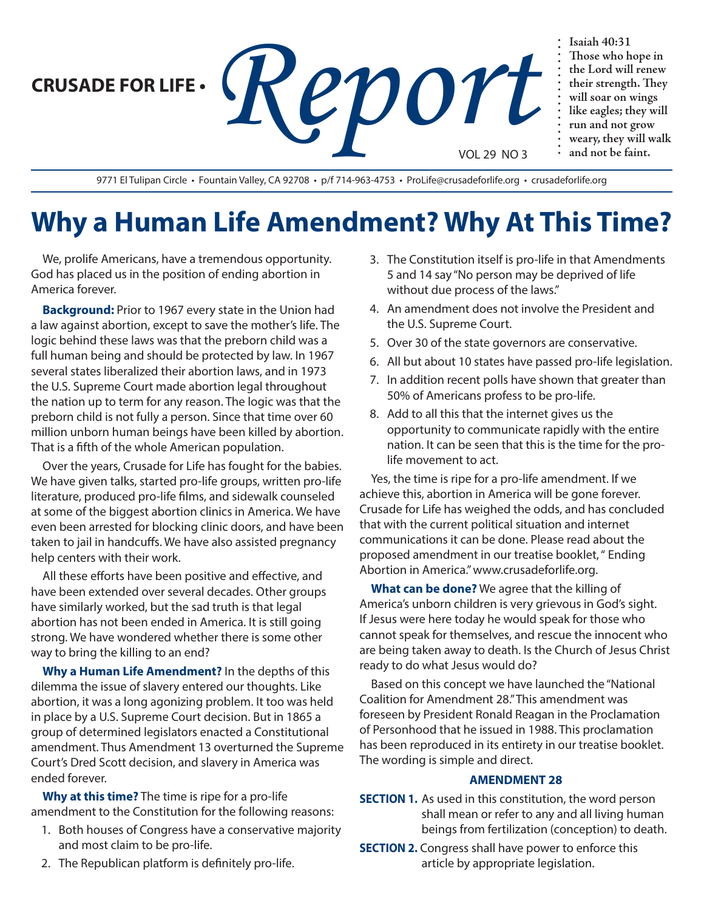**CRUSADE FOR LIFE •**

Faiah 40:31<br>
Report of the Lord will<br>
Fair strength<br>
Fair strength<br>
In the Lord will soar on v<br>
In soar on v<br>
In the cagles; the cagles, the cagnes, the cagnes is the cagnes, the cagnes is the cagnes of the cagnes of the c VOL 29 NO 3

**Those who hope in the Lord will renew their strength. They will soar on wings like eagles; they will run and not grow weary, they will walk and not be faint.**

9771 El Tulipan Circle · Fountain Valley, CA 92708 · p/f 714-963-4753 · ProLife@crusadeforlife.org · crusadeforlife.org

## **Why a Human Life Amendment? Why At This Time?**

We, prolife Americans, have a tremendous opportunity. God has placed us in the position of ending abortion in America forever.

**Background:** Prior to 1967 every state in the Union had a law against abortion, except to save the mother's life. The logic behind these laws was that the preborn child was a full human being and should be protected by law. In 1967 several states liberalized their abortion laws, and in 1973 the U.S. Supreme Court made abortion legal throughout the nation up to term for any reason. The logic was that the preborn child is not fully a person. Since that time over 60 million unborn human beings have been killed by abortion. That is a fifth of the whole American population.

Over the years, Crusade for Life has fought for the babies. We have given talks, started pro-life groups, written pro-life literature, produced pro-life films, and sidewalk counseled at some of the biggest abortion clinics in America. We have even been arrested for blocking clinic doors, and have been taken to jail in handcuffs. We have also assisted pregnancy help centers with their work.

All these efforts have been positive and effective, and have been extended over several decades. Other groups have similarly worked, but the sad truth is that legal abortion has not been ended in America. It is still going strong. We have wondered whether there is some other way to bring the killing to an end?

**Why a Human Life Amendment?** In the depths of this dilemma the issue of slavery entered our thoughts. Like abortion, it was a long agonizing problem. It too was held in place by a U.S. Supreme Court decision. But in 1865 a group of determined legislators enacted a Constitutional amendment. Thus Amendment 13 overturned the Supreme Court's Dred Scott decision, and slavery in America was ended forever.

**Why at this time?** The time is ripe for a pro-life amendment to the Constitution for the following reasons:

1. Both houses of Congress have a conservative majority and most claim to be pro-life.

- 3. The Constitution itself is pro-life in that Amendments 5 and 14 say "No person may be deprived of life without due process of the laws."
- 4. An amendment does not involve the President and the U.S. Supreme Court.
- 5. Over 30 of the state governors are conservative.
- 6. All but about 10 states have passed pro-life legislation.
- 7. In addition recent polls have shown that greater than 50% of Americans profess to be pro-life.
- 8. Add to all this that the internet gives us the opportunity to communicate rapidly with the entire nation. It can be seen that this is the time for the prolife movement to act.

Yes, the time is ripe for a pro-life amendment. If we achieve this, abortion in America will be gone forever. Crusade for Life has weighed the odds, and has concluded that with the current political situation and internet communications it can be done. Please read about the proposed amendment in our treatise booklet, " Ending Abortion in America." www.crusadeforlife.org.

**What can be done?** We agree that the killing of America's unborn children is very grievous in God's sight. If Jesus were here today he would speak for those who cannot speak for themselves, and rescue the innocent who are being taken away to death. Is the Church of Jesus Christ ready to do what Jesus would do?

Based on this concept we have launched the "National Coalition for Amendment 28." This amendment was foreseen by President Ronald Reagan in the Proclamation of Personhood that he issued in 1988. This proclamation has been reproduced in its entirety in our treatise booklet. The wording is simple and direct.

## **AMENDMENT 28**

- **SECTION 1.** As used in this constitution, the word person shall mean or refer to any and all living human beings from fertilization (conception) to death.
- **SECTION 2.** Congress shall have power to enforce this article by appropriate legislation.
- 2. The Republican platform is definitely pro-life.